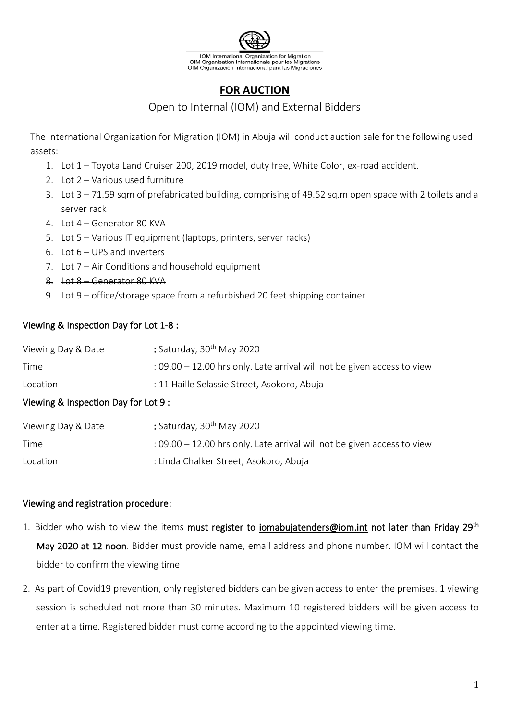

# **FOR AUCTION**

## Open to Internal (IOM) and External Bidders

The International Organization for Migration (IOM) in Abuja will conduct auction sale for the following used assets:

- 1. Lot 1 Toyota Land Cruiser 200, 2019 model, duty free, White Color, ex-road accident.
- 2. Lot 2 Various used furniture
- 3. Lot 3 71.59 sqm of prefabricated building, comprising of 49.52 sq.m open space with 2 toilets and a server rack
- 4. Lot 4 Generator 80 KVA
- 5. Lot 5 Various IT equipment (laptops, printers, server racks)
- 6. Lot 6 UPS and inverters
- 7. Lot 7 Air Conditions and household equipment
- 8. Lot 8 Generator 80 KVA
- 9. Lot 9 office/storage space from a refurbished 20 feet shipping container

### Viewing & Inspection Day for Lot 1-8 :

| Viewing Day & Date | : Saturday, 30 <sup>th</sup> May 2020                                     |
|--------------------|---------------------------------------------------------------------------|
| Time               | $: 09.00 - 12.00$ hrs only. Late arrival will not be given access to view |
| Location           | : 11 Haille Selassie Street, Asokoro, Abuja                               |

### Viewing & Inspection Day for Lot 9 :

| Viewing Day & Date | : Saturday, $30th$ May 2020                                                 |
|--------------------|-----------------------------------------------------------------------------|
| Time               | $\pm$ 09.00 – 12.00 hrs only. Late arrival will not be given access to view |
| Location           | : Linda Chalker Street, Asokoro, Abuja                                      |

#### Viewing and registration procedure:

- 1. Bidder who wish to view the items must register to [iomabujatenders@iom.int](mailto:iomabujatenders@iom.int) not later than Friday 29<sup>th</sup> May 2020 at 12 noon. Bidder must provide name, email address and phone number. IOM will contact the bidder to confirm the viewing time
- 2. As part of Covid19 prevention, only registered bidders can be given access to enter the premises. 1 viewing session is scheduled not more than 30 minutes. Maximum 10 registered bidders will be given access to enter at a time. Registered bidder must come according to the appointed viewing time.